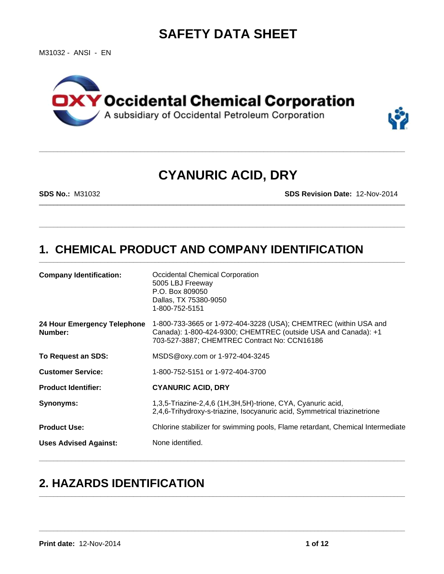# **SAFETY DATA SHEET**

M31032 - ANSI - EN





# **CYANURIC ACID, DRY**

\_\_\_\_\_\_\_\_\_\_\_\_\_\_\_\_\_\_\_\_\_\_\_\_\_\_\_\_\_\_\_\_\_\_\_\_\_\_\_\_\_\_\_\_\_\_\_\_\_\_\_\_\_\_\_\_\_\_\_\_\_\_\_\_\_\_\_\_\_\_\_\_\_\_\_\_\_\_\_\_\_\_\_\_\_\_\_\_\_\_\_\_\_\_\_\_\_\_\_\_\_

**\_\_\_\_\_\_\_\_\_\_\_\_\_\_\_\_\_\_\_\_\_\_\_\_\_\_\_\_\_\_\_\_\_\_\_\_\_\_\_\_\_\_\_\_\_\_\_\_\_\_\_\_\_\_\_\_\_\_\_\_\_\_\_\_\_\_\_\_\_\_\_\_\_\_\_\_\_\_\_\_\_\_\_\_\_\_\_\_\_\_\_\_\_\_\_\_\_\_\_\_\_**

**\_\_\_\_\_\_\_\_\_\_\_\_\_\_\_\_\_\_\_\_\_\_\_\_\_\_\_\_\_\_\_\_\_\_\_\_\_\_\_\_\_\_\_\_\_\_\_\_\_\_\_\_\_\_\_\_\_\_\_\_\_\_\_\_\_\_\_\_\_\_\_\_\_\_\_\_\_\_\_\_\_\_\_\_\_\_\_\_\_\_\_\_\_\_\_\_\_\_\_\_\_**

**\_\_\_\_\_\_\_\_\_\_\_\_\_\_\_\_\_\_\_\_\_\_\_\_\_\_\_\_\_\_\_\_\_\_\_\_\_\_\_\_\_\_\_\_\_\_\_\_\_\_\_\_\_\_\_\_\_\_\_\_\_\_\_\_\_\_\_\_\_\_\_\_\_\_\_\_\_\_\_\_\_\_\_\_\_\_\_\_\_\_\_\_\_\_\_\_\_\_\_\_\_**

**\_\_\_\_\_\_\_\_\_\_\_\_\_\_\_\_\_\_\_\_\_\_\_\_\_\_\_\_\_\_\_\_\_\_\_\_\_\_\_\_\_\_\_\_\_\_\_\_\_\_\_\_\_\_\_\_\_\_\_\_\_\_\_\_\_\_\_\_\_\_\_\_\_\_\_\_\_\_\_\_\_\_\_\_\_\_\_\_\_\_\_\_\_\_\_\_\_\_\_\_\_**

**\_\_\_\_\_\_\_\_\_\_\_\_\_\_\_\_\_\_\_\_\_\_\_\_\_\_\_\_\_\_\_\_\_\_\_\_\_\_\_\_\_\_\_\_\_\_\_\_\_\_\_\_\_\_\_\_\_\_\_\_\_\_\_\_\_\_\_\_\_\_\_\_\_\_\_\_\_\_\_\_\_\_\_\_\_\_\_\_\_\_\_\_\_\_\_\_\_\_\_\_\_**

**SDS No.:** M31032 **SDS Revision Date:** 12-Nov-2014

# **1. CHEMICAL PRODUCT AND COMPANY IDENTIFICATION**

| <b>Company Identification:</b>         | Occidental Chemical Corporation<br>5005 LBJ Freeway<br>P.O. Box 809050<br>Dallas, TX 75380-9050<br>1-800-752-5151                                                                  |
|----------------------------------------|------------------------------------------------------------------------------------------------------------------------------------------------------------------------------------|
| 24 Hour Emergency Telephone<br>Number: | 1-800-733-3665 or 1-972-404-3228 (USA); CHEMTREC (within USA and<br>Canada): 1-800-424-9300; CHEMTREC (outside USA and Canada): +1<br>703-527-3887; CHEMTREC Contract No: CCN16186 |
| To Request an SDS:                     | MSDS@oxy.com or 1-972-404-3245                                                                                                                                                     |
| <b>Customer Service:</b>               | 1-800-752-5151 or 1-972-404-3700                                                                                                                                                   |
| <b>Product Identifier:</b>             | <b>CYANURIC ACID, DRY</b>                                                                                                                                                          |
| Synonyms:                              | 1,3,5-Triazine-2,4,6 (1H,3H,5H)-trione, CYA, Cyanuric acid,<br>2,4,6-Trihydroxy-s-triazine, Isocyanuric acid, Symmetrical triazinetrione                                           |
| <b>Product Use:</b>                    | Chlorine stabilizer for swimming pools, Flame retardant, Chemical Intermediate                                                                                                     |
| <b>Uses Advised Against:</b>           | None identified.                                                                                                                                                                   |
|                                        |                                                                                                                                                                                    |

**\_\_\_\_\_\_\_\_\_\_\_\_\_\_\_\_\_\_\_\_\_\_\_\_\_\_\_\_\_\_\_\_\_\_\_\_\_\_\_\_\_\_\_\_\_\_\_\_\_\_\_\_\_\_\_\_\_\_\_\_\_\_\_\_\_\_\_\_\_\_\_\_\_\_\_\_\_\_\_\_\_\_\_\_\_\_\_\_\_\_\_\_\_\_\_\_\_\_\_\_\_**

# **2. HAZARDS IDENTIFICATION**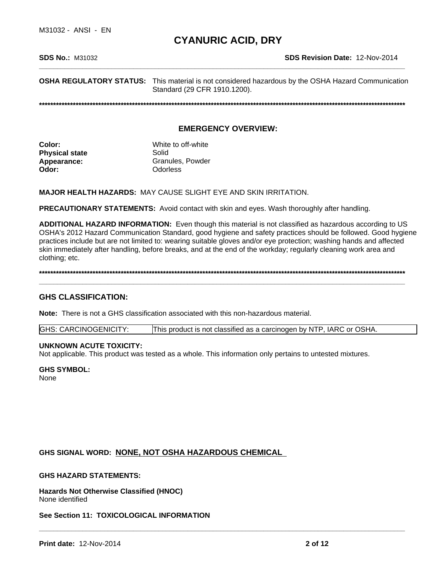**OSHA REGULATORY STATUS:** This material is not considered hazardous by the OSHA Hazard Communication Standard (29 CFR 1910.1200).

**\*\*\*\*\*\*\*\*\*\*\*\*\*\*\*\*\*\*\*\*\*\*\*\*\*\*\*\*\*\*\*\*\*\*\*\*\*\*\*\*\*\*\*\*\*\*\*\*\*\*\*\*\*\*\*\*\*\*\*\*\*\*\*\*\*\*\*\*\*\*\*\*\*\*\*\*\*\*\*\*\*\*\*\*\*\*\*\*\*\*\*\*\*\*\*\*\*\*\*\*\*\*\*\*\*\*\*\*\*\*\*\*\*\*\*\*\*\*\*\*\*\*\*\*\*\*\*\*\*\***

#### **EMERGENCY OVERVIEW:**

| White to off-white |
|--------------------|
|                    |
| Granules, Powder   |
| Odorless           |
|                    |

**MAJOR HEALTH HAZARDS:** MAY CAUSE SLIGHT EYE AND SKIN IRRITATION.

**PRECAUTIONARY STATEMENTS:** Avoid contact with skin and eyes. Wash thoroughly after handling.

**ADDITIONAL HAZARD INFORMATION:** Even though this material is not classified as hazardous according to US OSHA's 2012 Hazard Communication Standard, good hygiene and safety practices should be followed. Good hygiene practices include but are not limited to: wearing suitable gloves and/or eye protection; washing hands and affected skin immediately after handling, before breaks, and at the end of the workday; regularly cleaning work area and clothing; etc.

**\*\*\*\*\*\*\*\*\*\*\*\*\*\*\*\*\*\*\*\*\*\*\*\*\*\*\*\*\*\*\*\*\*\*\*\*\*\*\*\*\*\*\*\*\*\*\*\*\*\*\*\*\*\*\*\*\*\*\*\*\*\*\*\*\*\*\*\*\*\*\*\*\*\*\*\*\*\*\*\*\*\*\*\*\*\*\*\*\*\*\*\*\*\*\*\*\*\*\*\*\*\*\*\*\*\*\*\*\*\*\*\*\*\*\*\*\*\*\*\*\*\*\*\*\*\*\*\*\*\***

**\_\_\_\_\_\_\_\_\_\_\_\_\_\_\_\_\_\_\_\_\_\_\_\_\_\_\_\_\_\_\_\_\_\_\_\_\_\_\_\_\_\_\_\_\_\_\_\_\_\_\_\_\_\_\_\_\_\_\_\_\_\_\_\_\_\_\_\_\_\_\_\_\_\_\_\_\_\_\_\_\_\_\_\_\_\_\_\_\_\_\_\_\_\_\_\_\_\_\_\_\_**

#### **GHS CLASSIFICATION:**

**Note:** There is not a GHS classification associated with this non-hazardous material.

GHS: CARCINOGENICITY: This product is not classified as a carcinogen by NTP, IARC or OSHA.

#### **UNKNOWN ACUTE TOXICITY:**

Not applicable. This product was tested as a whole. This information only pertains to untested mixtures.

#### **GHS SYMBOL:**

None

#### **GHS SIGNAL WORD: NONE, NOT OSHA HAZARDOUS CHEMICAL**

**\_\_\_\_\_\_\_\_\_\_\_\_\_\_\_\_\_\_\_\_\_\_\_\_\_\_\_\_\_\_\_\_\_\_\_\_\_\_\_\_\_\_\_\_\_\_\_\_\_\_\_\_\_\_\_\_\_\_\_\_\_\_\_\_\_\_\_\_\_\_\_\_\_\_\_\_\_\_\_\_\_\_\_\_\_\_\_\_\_\_\_\_\_\_\_\_\_\_\_\_\_ GHS HAZARD STATEMENTS: Hazards Not Otherwise Classified (HNOC)** None identified

**See Section 11: TOXICOLOGICAL INFORMATION**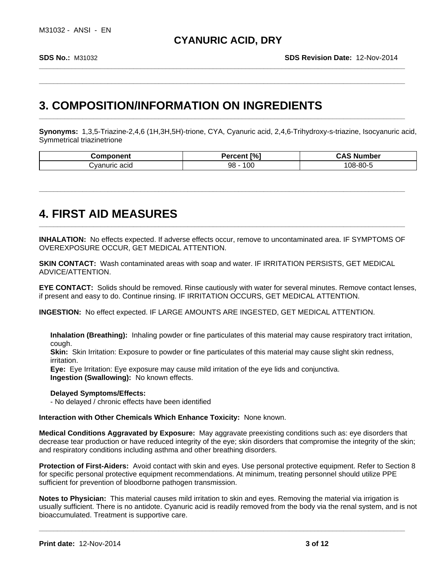**\_\_\_\_\_\_\_\_\_\_\_\_\_\_\_\_\_\_\_\_\_\_\_\_\_\_\_\_\_\_\_\_\_\_\_\_\_\_\_\_\_\_\_\_\_\_\_\_\_\_\_\_\_\_\_\_\_\_\_\_\_\_\_\_\_\_\_\_\_\_\_\_\_\_\_\_\_\_\_\_\_\_\_\_\_\_\_\_\_\_\_\_\_\_\_\_\_\_\_\_\_**

**\_\_\_\_\_\_\_\_\_\_\_\_\_\_\_\_\_\_\_\_\_\_\_\_\_\_\_\_\_\_\_\_\_\_\_\_\_\_\_\_\_\_\_\_\_\_\_\_\_\_\_\_\_\_\_\_\_\_\_\_\_\_\_\_\_\_\_\_\_\_\_\_\_\_\_\_\_\_\_\_\_\_\_\_\_\_\_\_\_\_\_\_\_\_\_\_\_\_\_\_\_**

**\_\_\_\_\_\_\_\_\_\_\_\_\_\_\_\_\_\_\_\_\_\_\_\_\_\_\_\_\_\_\_\_\_\_\_\_\_\_\_\_\_\_\_\_\_\_\_\_\_\_\_\_\_\_\_\_\_\_\_\_\_\_\_\_\_\_\_\_\_\_\_\_\_\_\_\_\_\_\_\_\_\_\_\_\_\_\_\_\_\_\_\_\_\_\_\_\_\_\_\_\_**

**\_\_\_\_\_\_\_\_\_\_\_\_\_\_\_\_\_\_\_\_\_\_\_\_\_\_\_\_\_\_\_\_\_\_\_\_\_\_\_\_\_\_\_\_\_\_\_\_\_\_\_\_\_\_\_\_\_\_\_\_\_\_\_\_\_\_\_\_\_\_\_\_\_\_\_\_\_\_\_\_\_\_\_\_\_\_\_\_\_\_\_\_\_\_\_\_\_\_\_\_\_**

## **3. COMPOSITION/INFORMATION ON INGREDIENTS**

**Synonyms:** 1,3,5-Triazine-2,4,6 (1H,3H,5H)-trione, CYA, Cyanuric acid, 2,4,6-Trihydroxy-s-triazine, Isocyanuric acid, Symmetrical triazinetrione

| -----<br>.                    | $\Gamma\%$<br>P<br>ы | ımber    |
|-------------------------------|----------------------|----------|
| acid<br>$\cdot$<br>urio<br>าเ | 10C<br>98            | $08-80-$ |

# **4. FIRST AID MEASURES**

**INHALATION:** No effects expected. If adverse effects occur, remove to uncontaminated area. IF SYMPTOMS OF OVEREXPOSURE OCCUR, GET MEDICAL ATTENTION.

**SKIN CONTACT:** Wash contaminated areas with soap and water. IF IRRITATION PERSISTS, GET MEDICAL ADVICE/ATTENTION.

**EYE CONTACT:** Solids should be removed. Rinse cautiously with water for several minutes. Remove contact lenses, if present and easy to do. Continue rinsing. IF IRRITATION OCCURS, GET MEDICAL ATTENTION.

**INGESTION:** No effect expected. IF LARGE AMOUNTS ARE INGESTED, GET MEDICAL ATTENTION.

**Inhalation (Breathing):** Inhaling powder or fine particulates of this material may cause respiratory tract irritation, cough.

**Skin:** Skin Irritation: Exposure to powder or fine particulates of this material may cause slight skin redness, irritation.

**Eye:** Eye Irritation: Eye exposure may cause mild irritation of the eye lids and conjunctiva. **Ingestion (Swallowing):** No known effects.

**Delayed Symptoms/Effects:**

- No delayed / chronic effects have been identified

**Interaction with Other Chemicals Which Enhance Toxicity:** None known.

**Medical Conditions Aggravated by Exposure:** May aggravate preexisting conditions such as: eye disorders that decrease tear production or have reduced integrity of the eye; skin disorders that compromise the integrity of the skin; and respiratory conditions including asthma and other breathing disorders.

**Protection of First-Aiders:** Avoid contact with skin and eyes. Use personal protective equipment. Refer to Section 8 for specific personal protective equipment recommendations. At minimum, treating personnel should utilize PPE sufficient for prevention of bloodborne pathogen transmission.

**Notes to Physician:** This material causes mild irritation to skin and eyes. Removing the material via irrigation is usually sufficient. There is no antidote. Cyanuric acid is readily removed from the body via the renal system, and is not bioaccumulated. Treatment is supportive care.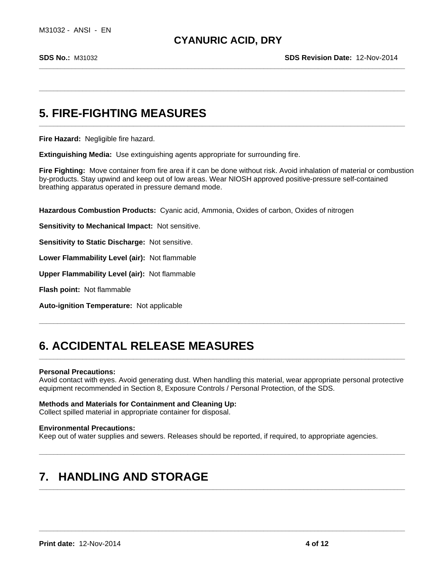**\_\_\_\_\_\_\_\_\_\_\_\_\_\_\_\_\_\_\_\_\_\_\_\_\_\_\_\_\_\_\_\_\_\_\_\_\_\_\_\_\_\_\_\_\_\_\_\_\_\_\_\_\_\_\_\_\_\_\_\_\_\_\_\_\_\_\_\_\_\_\_\_\_\_\_\_\_\_\_\_\_\_\_\_\_\_\_\_\_\_\_\_\_\_\_\_\_\_\_\_\_**

**\_\_\_\_\_\_\_\_\_\_\_\_\_\_\_\_\_\_\_\_\_\_\_\_\_\_\_\_\_\_\_\_\_\_\_\_\_\_\_\_\_\_\_\_\_\_\_\_\_\_\_\_\_\_\_\_\_\_\_\_\_\_\_\_\_\_\_\_\_\_\_\_\_\_\_\_\_\_\_\_\_\_\_\_\_\_\_\_\_\_\_\_\_\_\_\_\_\_\_\_\_**

**\_\_\_\_\_\_\_\_\_\_\_\_\_\_\_\_\_\_\_\_\_\_\_\_\_\_\_\_\_\_\_\_\_\_\_\_\_\_\_\_\_\_\_\_\_\_\_\_\_\_\_\_\_\_\_\_\_\_\_\_\_\_\_\_\_\_\_\_\_\_\_\_\_\_\_\_\_\_\_\_\_\_\_\_\_\_\_\_\_\_\_\_\_\_\_\_\_\_\_\_\_**

**\_\_\_\_\_\_\_\_\_\_\_\_\_\_\_\_\_\_\_\_\_\_\_\_\_\_\_\_\_\_\_\_\_\_\_\_\_\_\_\_\_\_\_\_\_\_\_\_\_\_\_\_\_\_\_\_\_\_\_\_\_\_\_\_\_\_\_\_\_\_\_\_\_\_\_\_\_\_\_\_\_\_\_\_\_\_\_\_\_\_\_\_\_\_\_\_\_\_\_\_\_**

**\_\_\_\_\_\_\_\_\_\_\_\_\_\_\_\_\_\_\_\_\_\_\_\_\_\_\_\_\_\_\_\_\_\_\_\_\_\_\_\_\_\_\_\_\_\_\_\_\_\_\_\_\_\_\_\_\_\_\_\_\_\_\_\_\_\_\_\_\_\_\_\_\_\_\_\_\_\_\_\_\_\_\_\_\_\_\_\_\_\_\_\_\_\_\_\_\_\_\_\_\_**

**\_\_\_\_\_\_\_\_\_\_\_\_\_\_\_\_\_\_\_\_\_\_\_\_\_\_\_\_\_\_\_\_\_\_\_\_\_\_\_\_\_\_\_\_\_\_\_\_\_\_\_\_\_\_\_\_\_\_\_\_\_\_\_\_\_\_\_\_\_\_\_\_\_\_\_\_\_\_\_\_\_\_\_\_\_\_\_\_\_\_\_\_\_\_\_\_\_\_\_\_\_**

# **5. FIRE-FIGHTING MEASURES**

**Fire Hazard:** Negligible fire hazard.

**Extinguishing Media:** Use extinguishing agents appropriate for surrounding fire.

**Fire Fighting:** Move container from fire area if it can be done without risk. Avoid inhalation of material or combustion by-products. Stay upwind and keep out of low areas. Wear NIOSH approved positive-pressure self-contained breathing apparatus operated in pressure demand mode.

**Hazardous Combustion Products:** Cyanic acid, Ammonia, Oxides of carbon, Oxides of nitrogen

**Sensitivity to Mechanical Impact:** Not sensitive.

**Sensitivity to Static Discharge:** Not sensitive.

**Lower Flammability Level (air):** Not flammable

**Upper Flammability Level (air):** Not flammable

**Flash point:** Not flammable

**Auto-ignition Temperature:** Not applicable

# **6. ACCIDENTAL RELEASE MEASURES**

#### **Personal Precautions:**

Avoid contact with eyes. Avoid generating dust. When handling this material, wear appropriate personal protective equipment recommended in Section 8, Exposure Controls / Personal Protection, of the SDS.

**\_\_\_\_\_\_\_\_\_\_\_\_\_\_\_\_\_\_\_\_\_\_\_\_\_\_\_\_\_\_\_\_\_\_\_\_\_\_\_\_\_\_\_\_\_\_\_\_\_\_\_\_\_\_\_\_\_\_\_\_\_\_\_\_\_\_\_\_\_\_\_\_\_\_\_\_\_\_\_\_\_\_\_\_\_\_\_\_\_\_\_\_\_\_\_\_\_\_\_\_\_**

#### **Methods and Materials for Containment and Cleaning Up:**

Collect spilled material in appropriate container for disposal.

#### **Environmental Precautions:**

Keep out of water supplies and sewers. Releases should be reported, if required, to appropriate agencies.

### **7. HANDLING AND STORAGE**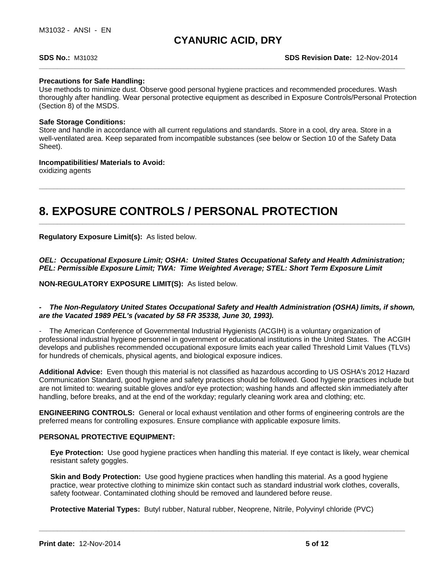#### **Precautions for Safe Handling:**

Use methods to minimize dust. Observe good personal hygiene practices and recommended procedures. Wash thoroughly after handling. Wear personal protective equipment as described in Exposure Controls/Personal Protection (Section 8) of the MSDS.

**\_\_\_\_\_\_\_\_\_\_\_\_\_\_\_\_\_\_\_\_\_\_\_\_\_\_\_\_\_\_\_\_\_\_\_\_\_\_\_\_\_\_\_\_\_\_\_\_\_\_\_\_\_\_\_\_\_\_\_\_\_\_\_\_\_\_\_\_\_\_\_\_\_\_\_\_\_\_\_\_\_\_\_\_\_\_\_\_\_\_\_\_\_\_\_\_\_\_\_\_\_**

**\_\_\_\_\_\_\_\_\_\_\_\_\_\_\_\_\_\_\_\_\_\_\_\_\_\_\_\_\_\_\_\_\_\_\_\_\_\_\_\_\_\_\_\_\_\_\_\_\_\_\_\_\_\_\_\_\_\_\_\_\_\_\_\_\_\_\_\_\_\_\_\_\_\_\_\_\_\_\_\_\_\_\_\_\_\_\_\_\_\_\_\_\_\_\_\_\_\_\_\_\_**

#### **Safe Storage Conditions:**

Store and handle in accordance with all current regulations and standards. Store in a cool, dry area. Store in a well-ventilated area. Keep separated from incompatible substances (see below or Section 10 of the Safety Data Sheet).

#### **Incompatibilities/ Materials to Avoid:**

oxidizing agents

# **8. EXPOSURE CONTROLS / PERSONAL PROTECTION**

**Regulatory Exposure Limit(s):** As listed below.

*OEL: Occupational Exposure Limit; OSHA: United States Occupational Safety and Health Administration; PEL: Permissible Exposure Limit; TWA: Time Weighted Average; STEL: Short Term Exposure Limit*

#### **NON-REGULATORY EXPOSURE LIMIT(S):** As listed below.

*- The Non-Regulatory United States Occupational Safety and Health Administration (OSHA) limits, if shown, are the Vacated 1989 PEL's (vacated by 58 FR 35338, June 30, 1993).*

- The American Conference of Governmental Industrial Hygienists (ACGIH) is a voluntary organization of professional industrial hygiene personnel in government or educational institutions in the United States. The ACGIH develops and publishes recommended occupational exposure limits each year called Threshold Limit Values (TLVs) for hundreds of chemicals, physical agents, and biological exposure indices.

**Additional Advice:** Even though this material is not classified as hazardous according to US OSHA's 2012 Hazard Communication Standard, good hygiene and safety practices should be followed. Good hygiene practices include but are not limited to: wearing suitable gloves and/or eye protection; washing hands and affected skin immediately after handling, before breaks, and at the end of the workday; regularly cleaning work area and clothing; etc.

**ENGINEERING CONTROLS:** General or local exhaust ventilation and other forms of engineering controls are the preferred means for controlling exposures. Ensure compliance with applicable exposure limits.

#### **PERSONAL PROTECTIVE EQUIPMENT:**

**Eye Protection:** Use good hygiene practices when handling this material. If eye contact is likely, wear chemical resistant safety goggles.

**Skin and Body Protection:** Use good hygiene practices when handling this material. As a good hygiene practice, wear protective clothing to minimize skin contact such as standard industrial work clothes, coveralls, safety footwear. Contaminated clothing should be removed and laundered before reuse.

**\_\_\_\_\_\_\_\_\_\_\_\_\_\_\_\_\_\_\_\_\_\_\_\_\_\_\_\_\_\_\_\_\_\_\_\_\_\_\_\_\_\_\_\_\_\_\_\_\_\_\_\_\_\_\_\_\_\_\_\_\_\_\_\_\_\_\_\_\_\_\_\_\_\_\_\_\_\_\_\_\_\_\_\_\_\_\_\_\_\_\_\_\_\_\_\_\_\_\_\_\_**

**Protective Material Types:** Butyl rubber, Natural rubber, Neoprene, Nitrile, Polyvinyl chloride (PVC)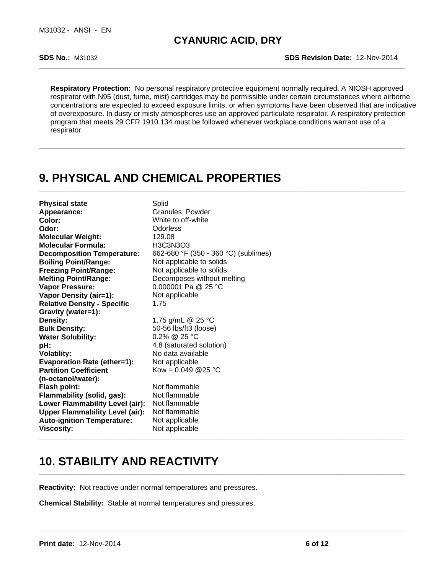**SDS No.:** M31032 **SDS Revision Date:** 12-Nov-2014

**Respiratory Protection:** No personal respiratory protective equipment normally required. A NIOSH approved respirator with N95 (dust, fume, mist) cartridges may be permissible under certain circumstances where airborne concentrations are expected to exceed exposure limits, or when symptoms have been observed that are indicative of overexposure. In dusty or misty atmospheres use an approved particulate respirator. A respiratory protection program that meets 29 CFR 1910.134 must be followed whenever workplace conditions warrant use of a respirator.

**\_\_\_\_\_\_\_\_\_\_\_\_\_\_\_\_\_\_\_\_\_\_\_\_\_\_\_\_\_\_\_\_\_\_\_\_\_\_\_\_\_\_\_\_\_\_\_\_\_\_\_\_\_\_\_\_\_\_\_\_\_\_\_\_\_\_\_\_\_\_\_\_\_\_\_\_\_\_\_\_\_\_\_\_\_\_\_\_\_\_\_\_\_\_\_\_\_\_\_\_\_**

**\_\_\_\_\_\_\_\_\_\_\_\_\_\_\_\_\_\_\_\_\_\_\_\_\_\_\_\_\_\_\_\_\_\_\_\_\_\_\_\_\_\_\_\_\_\_\_\_\_\_\_\_\_\_\_\_\_\_\_\_\_\_\_\_\_\_\_\_\_\_\_\_\_\_\_\_\_\_\_\_\_\_\_\_\_\_\_\_\_\_\_\_\_\_\_\_\_\_\_\_\_**

## **9. PHYSICAL AND CHEMICAL PROPERTIES**

**Physical state** Solid Appearance: Granules, Powder **Color:** White to off-white **Odor:** Odorless **Molecular Weight:** 129.08 **Molecular Formula:** H3C3N3O3 **Decomposition Temperature:** 662-680 °F (350 - 360 °C) (sublimes) **Boiling Point/Range:** Not applicable to solids **Freezing Point/Range:** Not applicable to solids. **Melting Point/Range:** Decomposes without melting **Vapor Pressure:** 0.000001 Pa @ 25 °C **Vapor Density (air=1):** Not applicable **Relative Density - Specific Gravity (water=1):** 1.75 **Density:** 1.75 g/mL @ 25 °C<br> **Bulk Density:** 50-56 lbs/ft3 (loose) **Bulk Density:** 50-56 lbs/ft3 (loose) **Water Solubility:** 0.2% @ 25 °C **pH:** 4.8 (saturated solution) **Volatility:** No data available **Evaporation Rate (ether=1):** Not applicable **Partition Coefficient (n-octanol/water):**  $Kow = 0.049$  @ 25 °C **Flash point:** Not flammable<br> **Flammability (solid. gas):** Not flammable **Flammability (solid, gas): Lower Flammability Level (air):** Not flammable **Upper Flammability Level (air):** Not flammable **Auto-ignition Temperature:** Not applicable **Viscosity:** Not applicable **\_\_\_\_\_\_\_\_\_\_\_\_\_\_\_\_\_\_\_\_\_\_\_\_\_\_\_\_\_\_\_\_\_\_\_\_\_\_\_\_\_\_\_\_\_\_\_\_\_\_\_\_\_\_\_\_\_\_\_\_\_\_\_\_\_\_\_\_\_\_\_\_\_\_\_\_\_\_\_\_\_\_\_\_\_\_\_\_\_\_\_\_\_\_\_\_\_\_\_\_\_**

# **10. STABILITY AND REACTIVITY**

**Reactivity:** Not reactive under normal temperatures and pressures.

**Chemical Stability:** Stable at normal temperatures and pressures.

**\_\_\_\_\_\_\_\_\_\_\_\_\_\_\_\_\_\_\_\_\_\_\_\_\_\_\_\_\_\_\_\_\_\_\_\_\_\_\_\_\_\_\_\_\_\_\_\_\_\_\_\_\_\_\_\_\_\_\_\_\_\_\_\_\_\_\_\_\_\_\_\_\_\_\_\_\_\_\_\_\_\_\_\_\_\_\_\_\_\_\_\_\_\_\_\_\_\_\_\_\_**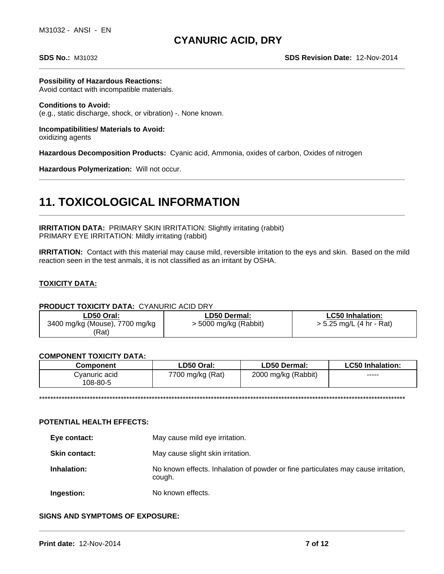**Possibility of Hazardous Reactions:**

Avoid contact with incompatible materials.

#### **Conditions to Avoid:** (e.g., static discharge, shock, or vibration) -. None known.

**Incompatibilities/ Materials to Avoid:** oxidizing agents

**Hazardous Decomposition Products:** Cyanic acid, Ammonia, oxides of carbon, Oxides of nitrogen

**Hazardous Polymerization:** Will not occur.

# **11. TOXICOLOGICAL INFORMATION**

**IRRITATION DATA: PRIMARY SKIN IRRITATION: Slightly irritating (rabbit)** PRIMARY EYE IRRITATION: Mildly irritating (rabbit)

**IRRITATION:** Contact with this material may cause mild, reversible irritation to the eys and skin. Based on the mild reaction seen in the test anmals, it is not classified as an irritant by OSHA.

**\_\_\_\_\_\_\_\_\_\_\_\_\_\_\_\_\_\_\_\_\_\_\_\_\_\_\_\_\_\_\_\_\_\_\_\_\_\_\_\_\_\_\_\_\_\_\_\_\_\_\_\_\_\_\_\_\_\_\_\_\_\_\_\_\_\_\_\_\_\_\_\_\_\_\_\_\_\_\_\_\_\_\_\_\_\_\_\_\_\_\_\_\_\_\_\_\_\_\_\_\_**

**\_\_\_\_\_\_\_\_\_\_\_\_\_\_\_\_\_\_\_\_\_\_\_\_\_\_\_\_\_\_\_\_\_\_\_\_\_\_\_\_\_\_\_\_\_\_\_\_\_\_\_\_\_\_\_\_\_\_\_\_\_\_\_\_\_\_\_\_\_\_\_\_\_\_\_\_\_\_\_\_\_\_\_\_\_\_\_\_\_\_\_\_\_\_\_\_\_\_\_\_\_**

### **TOXICITY DATA:**

#### **PRODUCT TOXICITY DATA:** CYANURIC ACID DRY

| ∟D50 Oral:                     | LD50 Dermal:            | <b>LC50 Inhalation:</b>    |
|--------------------------------|-------------------------|----------------------------|
| 3400 mg/kg (Mouse), 7700 mg/kg | $>$ 5000 mg/kg (Rabbit) | $> 5.25$ mg/L (4 hr - Rat) |
| 'Rat)                          |                         |                            |

#### **COMPONENT TOXICITY DATA:**

| <b>Component</b>          | LD50 Oral:       | LD50 Dermal:        | ∟C50 Inhalation: |
|---------------------------|------------------|---------------------|------------------|
| Cvanuric acid<br>108-80-5 | 7700 mg/kg (Rat) | 2000 mg/kg (Rabbit) | -----            |

\*\*\*\*\*\*\*\*\*\*\*\*\*\*\*\*\*\*\*\*\*\*\*\*\*\*\*\*\*\*\*\*\*\*\*\*\*\*\*\*\*\*\*\*\*\*\*\*\*\*\*\*\*\*\*\*\*\*\*\*\*\*\*\*\*\*\*\*\*\*\*\*\*\*\*\*\*\*\*\*\*\*\*\*\*\*\*\*\*\*\*\*\*\*\*\*\*\*\*\*\*\*\*\*\*\*\*\*\*\*\*\*\*\*\*\*\*\*\*\*\*\*\*\*\*\*\*\*\*\*

#### **POTENTIAL HEALTH EFFECTS:**

- **Eye contact:** May cause mild eye irritation.
- **Skin contact:** May cause slight skin irritation.
- **Inhalation:** No known effects. Inhalation of powder or fine particulates may cause irritation, cough.

**Ingestion: \_\_\_\_\_\_\_\_\_\_\_\_\_\_\_\_\_\_\_\_\_\_\_\_\_\_\_\_\_\_\_\_\_\_\_\_\_\_\_\_\_\_\_\_\_\_\_\_\_\_\_\_\_\_\_\_\_\_\_\_\_\_\_\_\_\_\_\_\_\_\_\_\_\_\_\_\_\_\_\_\_\_\_\_\_\_\_\_\_\_\_\_\_\_\_\_\_\_\_\_\_** No known effects.

#### **SIGNS AND SYMPTOMS OF EXPOSURE:**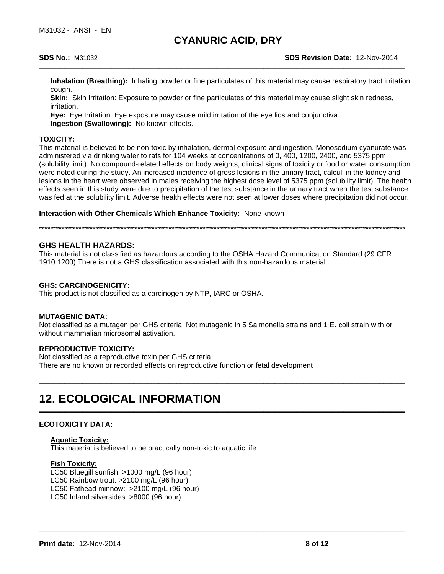**Inhalation (Breathing):** Inhaling powder or fine particulates of this material may cause respiratory tract irritation, cough.

**Skin:** Skin Irritation: Exposure to powder or fine particulates of this material may cause slight skin redness, irritation.

**Eye:** Eye Irritation: Eye exposure may cause mild irritation of the eye lids and conjunctiva. **Ingestion (Swallowing):** No known effects.

#### **TOXICITY:**

This material is believed to be non-toxic by inhalation, dermal exposure and ingestion. Monosodium cyanurate was administered via drinking water to rats for 104 weeks at concentrations of 0, 400, 1200, 2400, and 5375 ppm (solubility limit). No compound-related effects on body weights, clinical signs of toxicity or food or water consumption were noted during the study. An increased incidence of gross lesions in the urinary tract, calculi in the kidney and lesions in the heart were observed in males receiving the highest dose level of 5375 ppm (solubility limit). The health effects seen in this study were due to precipitation of the test substance in the urinary tract when the test substance was fed at the solubility limit. Adverse health effects were not seen at lower doses where precipitation did not occur.

**Interaction with Other Chemicals Which Enhance Toxicity:** None known

\*\*\*\*\*\*\*\*\*\*\*\*\*\*\*\*\*\*\*\*\*\*\*\*\*\*\*\*\*\*\*\*\*\*\*\*\*\*\*\*\*\*\*\*\*\*\*\*\*\*\*\*\*\*\*\*\*\*\*\*\*\*\*\*\*\*\*\*\*\*\*\*\*\*\*\*\*\*\*\*\*\*\*\*\*\*\*\*\*\*\*\*\*\*\*\*\*\*\*\*\*\*\*\*\*\*\*\*\*\*\*\*\*\*\*\*\*\*\*\*\*\*\*\*\*\*\*\*\*\*

#### **GHS HEALTH HAZARDS:**

This material is not classified as hazardous according to the OSHA Hazard Communication Standard (29 CFR 1910.1200) There is not a GHS classification associated with this non-hazardous material

#### **GHS: CARCINOGENICITY:**

This product is not classified as a carcinogen by NTP, IARC or OSHA.

#### **MUTAGENIC DATA:**

Not classified as a mutagen per GHS criteria. Not mutagenic in 5 Salmonella strains and 1 E. coli strain with or without mammalian microsomal activation.

\_\_\_\_\_\_\_\_\_\_\_\_\_\_\_\_\_\_\_\_\_\_\_\_\_\_\_\_\_\_\_\_\_\_\_\_\_\_\_\_\_\_\_\_\_\_\_\_\_\_\_\_\_\_\_\_\_\_\_\_\_\_\_\_\_\_\_\_\_\_\_\_\_\_\_\_\_\_\_\_\_\_\_\_\_\_\_\_\_\_\_\_\_\_\_\_\_\_\_\_\_

**\_\_\_\_\_\_\_\_\_\_\_\_\_\_\_\_\_\_\_\_\_\_\_\_\_\_\_\_\_\_\_\_\_\_\_\_\_\_\_\_\_\_\_\_\_\_\_\_\_\_\_\_\_\_\_\_\_\_\_\_\_\_\_\_\_\_\_\_\_\_\_\_\_\_\_\_\_\_\_\_\_\_\_\_\_\_\_\_\_\_\_\_\_\_\_\_\_\_\_\_\_**

**\_\_\_\_\_\_\_\_\_\_\_\_\_\_\_\_\_\_\_\_\_\_\_\_\_\_\_\_\_\_\_\_\_\_\_\_\_\_\_\_\_\_\_\_\_\_\_\_\_\_\_\_\_\_\_\_\_\_\_\_\_\_\_\_\_\_\_\_\_\_\_\_\_\_\_\_\_\_\_\_\_\_\_\_\_\_\_\_\_\_\_\_\_\_\_\_\_\_\_\_\_**

#### **REPRODUCTIVE TOXICITY:**

Not classified as a reproductive toxin per GHS criteria There are no known or recorded effects on reproductive function or fetal development

# **12. ECOLOGICAL INFORMATION**

### **ECOTOXICITY DATA:**

#### **Aquatic Toxicity:**

This material is believed to be practically non-toxic to aquatic life.

#### **Fish Toxicity:**

LC50 Bluegill sunfish: >1000 mg/L (96 hour) LC50 Rainbow trout: >2100 mg/L (96 hour) LC50 Fathead minnow: >2100 mg/L (96 hour) LC50 Inland silversides: >8000 (96 hour)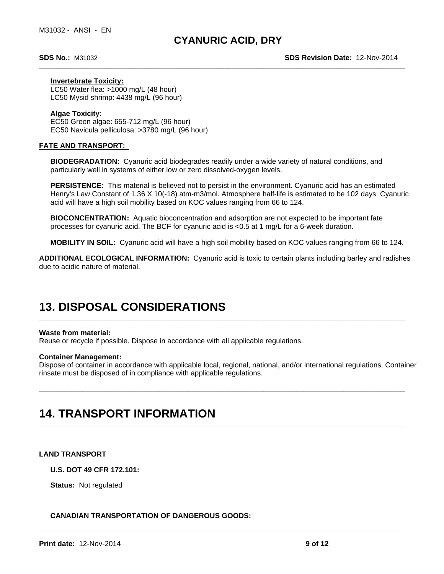#### **Invertebrate Toxicity:**

LC50 Water flea: >1000 mg/L (48 hour) LC50 Mysid shrimp: 4438 mg/L (96 hour)

#### **Algae Toxicity:**

EC50 Green algae: 655-712 mg/L (96 hour) EC50 Navicula pelliculosa: >3780 mg/L (96 hour)

#### **FATE AND TRANSPORT:**

**BIODEGRADATION:** Cyanuric acid biodegrades readily under a wide variety of natural conditions, and particularly well in systems of either low or zero dissolved-oxygen levels.

**PERSISTENCE:** This material is believed not to persist in the environment. Cyanuric acid has an estimated Henry's Law Constant of 1.36 X 10(-18) atm-m3/mol. Atmosphere half-life is estimated to be 102 days. Cyanuric acid will have a high soil mobility based on KOC values ranging from 66 to 124.

**BIOCONCENTRATION:** Aquatic bioconcentration and adsorption are not expected to be important fate processes for cyanuric acid. The BCF for cyanuric acid is <0.5 at 1 mg/L for a 6-week duration.

**MOBILITY IN SOIL:** Cyanuric acid will have a high soil mobility based on KOC values ranging from 66 to 124.

**ADDITIONAL ECOLOGICAL INFORMATION:** Cyanuric acid is toxic to certain plants including barley and radishes due to acidic nature of material.

**\_\_\_\_\_\_\_\_\_\_\_\_\_\_\_\_\_\_\_\_\_\_\_\_\_\_\_\_\_\_\_\_\_\_\_\_\_\_\_\_\_\_\_\_\_\_\_\_\_\_\_\_\_\_\_\_\_\_\_\_\_\_\_\_\_\_\_\_\_\_\_\_\_\_\_\_\_\_\_\_\_\_\_\_\_\_\_\_\_\_\_\_\_\_\_\_\_\_\_\_\_**

**\_\_\_\_\_\_\_\_\_\_\_\_\_\_\_\_\_\_\_\_\_\_\_\_\_\_\_\_\_\_\_\_\_\_\_\_\_\_\_\_\_\_\_\_\_\_\_\_\_\_\_\_\_\_\_\_\_\_\_\_\_\_\_\_\_\_\_\_\_\_\_\_\_\_\_\_\_\_\_\_\_\_\_\_\_\_\_\_\_\_\_\_\_\_\_\_\_\_\_\_\_**

**\_\_\_\_\_\_\_\_\_\_\_\_\_\_\_\_\_\_\_\_\_\_\_\_\_\_\_\_\_\_\_\_\_\_\_\_\_\_\_\_\_\_\_\_\_\_\_\_\_\_\_\_\_\_\_\_\_\_\_\_\_\_\_\_\_\_\_\_\_\_\_\_\_\_\_\_\_\_\_\_\_\_\_\_\_\_\_\_\_\_\_\_\_\_\_\_\_\_\_\_\_**

**\_\_\_\_\_\_\_\_\_\_\_\_\_\_\_\_\_\_\_\_\_\_\_\_\_\_\_\_\_\_\_\_\_\_\_\_\_\_\_\_\_\_\_\_\_\_\_\_\_\_\_\_\_\_\_\_\_\_\_\_\_\_\_\_\_\_\_\_\_\_\_\_\_\_\_\_\_\_\_\_\_\_\_\_\_\_\_\_\_\_\_\_\_\_\_\_\_\_\_\_\_**

### **13. DISPOSAL CONSIDERATIONS**

#### **Waste from material:**

Reuse or recycle if possible. Dispose in accordance with all applicable regulations.

#### **Container Management:**

Dispose of container in accordance with applicable local, regional, national, and/or international regulations. Container rinsate must be disposed of in compliance with applicable regulations.

### **14. TRANSPORT INFORMATION**

#### **LAND TRANSPORT**

**U.S. DOT 49 CFR 172.101:**

# **\_\_\_\_\_\_\_\_\_\_\_\_\_\_\_\_\_\_\_\_\_\_\_\_\_\_\_\_\_\_\_\_\_\_\_\_\_\_\_\_\_\_\_\_\_\_\_\_\_\_\_\_\_\_\_\_\_\_\_\_\_\_\_\_\_\_\_\_\_\_\_\_\_\_\_\_\_\_\_\_\_\_\_\_\_\_\_\_\_\_\_\_\_\_\_\_\_\_\_\_\_ Status:** Not regulated **CANADIAN TRANSPORTATION OF DANGEROUS GOODS:**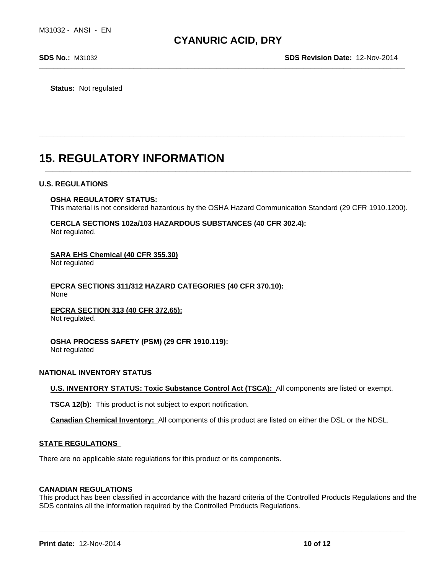**Status:** Not regulated

## **15. REGULATORY INFORMATION**

#### **U.S. REGULATIONS**

#### **OSHA REGULATORY STATUS:**

This material is not considered hazardous by the OSHA Hazard Communication Standard (29 CFR 1910.1200).

**\_\_\_\_\_\_\_\_\_\_\_\_\_\_\_\_\_\_\_\_\_\_\_\_\_\_\_\_\_\_\_\_\_\_\_\_\_\_\_\_\_\_\_\_\_\_\_\_\_\_\_\_\_\_\_\_\_\_\_\_\_\_\_\_\_\_\_\_\_\_\_\_\_\_\_\_\_\_\_\_\_\_\_\_\_\_\_\_\_\_\_\_\_\_\_\_\_\_\_\_\_**

**\_\_\_\_\_\_\_\_\_\_\_\_\_\_\_\_\_\_\_\_\_\_\_\_\_\_\_\_\_\_\_\_\_\_\_\_\_\_\_\_\_\_\_\_\_\_\_\_\_\_\_\_\_\_\_\_\_\_\_\_\_\_\_\_\_\_\_\_\_\_\_\_\_\_\_\_\_\_\_\_\_\_\_\_\_\_\_\_\_\_\_\_\_\_\_\_\_\_\_\_\_**

### **CERCLA SECTIONS 102a/103 HAZARDOUS SUBSTANCES (40 CFR 302.4):**

Not regulated.

#### **SARA EHS Chemical (40 CFR 355.30)**

Not regulated

#### **EPCRA SECTIONS 311/312 HAZARD CATEGORIES (40 CFR 370.10):**  None

### **EPCRA SECTION 313 (40 CFR 372.65):**

Not regulated.

### **OSHA PROCESS SAFETY (PSM) (29 CFR 1910.119):**

Not regulated

#### **NATIONAL INVENTORY STATUS**

**U.S. INVENTORY STATUS: Toxic Substance Control Act (TSCA):** All components are listed or exempt.

**TSCA 12(b):** This product is not subject to export notification.

**Canadian Chemical Inventory:** All components of this product are listed on either the DSL or the NDSL.

#### **STATE REGULATIONS**

There are no applicable state regulations for this product or its components.

#### **CANADIAN REGULATIONS**

This product has been classified in accordance with the hazard criteria of the Controlled Products Regulations and the SDS contains all the information required by the Controlled Products Regulations.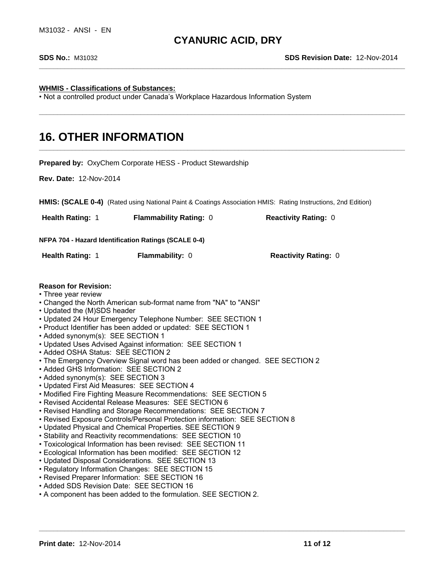**\_\_\_\_\_\_\_\_\_\_\_\_\_\_\_\_\_\_\_\_\_\_\_\_\_\_\_\_\_\_\_\_\_\_\_\_\_\_\_\_\_\_\_\_\_\_\_\_\_\_\_\_\_\_\_\_\_\_\_\_\_\_\_\_\_\_\_\_\_\_\_\_\_\_\_\_\_\_\_\_\_\_\_\_\_\_\_\_\_\_\_\_\_\_\_\_\_\_\_\_\_**

**\_\_\_\_\_\_\_\_\_\_\_\_\_\_\_\_\_\_\_\_\_\_\_\_\_\_\_\_\_\_\_\_\_\_\_\_\_\_\_\_\_\_\_\_\_\_\_\_\_\_\_\_\_\_\_\_\_\_\_\_\_\_\_\_\_\_\_\_\_\_\_\_\_\_\_\_\_\_\_\_\_\_\_\_\_\_\_\_\_\_\_\_\_\_\_\_\_\_\_\_\_**

#### **WHMIS - Classifications of Substances:**

• Not a controlled product under Canada's Workplace Hazardous Information System

### **16. OTHER INFORMATION**

**Prepared by:** OxyChem Corporate HESS - Product Stewardship **Rev. Date:** 12-Nov-2014 **HMIS: (SCALE 0-4)** (Rated using National Paint & Coatings Association HMIS: Rating Instructions, 2nd Edition) **NFPA 704 - Hazard Identification Ratings (SCALE 0-4) Reason for Revision:** • Three year review • Changed the North American sub-format name from "NA" to "ANSI" • Updated the (M)SDS header • Updated 24 Hour Emergency Telephone Number: SEE SECTION 1 • Product Identifier has been added or updated: SEE SECTION 1 • Added synonym(s): SEE SECTION 1 • Updated Uses Advised Against information: SEE SECTION 1 • Added OSHA Status: SEE SECTION 2 • The Emergency Overview Signal word has been added or changed. SEE SECTION 2 • Added GHS Information: SEE SECTION 2 • Added synonym(s): SEE SECTION 3 • Updated First Aid Measures: SEE SECTION 4 • Modified Fire Fighting Measure Recommendations: SEE SECTION 5 • Revised Accidental Release Measures: SEE SECTION 6 • Revised Handling and Storage Recommendations: SEE SECTION 7 • Revised Exposure Controls/Personal Protection information: SEE SECTION 8 • Updated Physical and Chemical Properties. SEE SECTION 9 • Stability and Reactivity recommendations: SEE SECTION 10 • Toxicological Information has been revised: SEE SECTION 11 • Ecological Information has been modified: SEE SECTION 12 • Updated Disposal Considerations. SEE SECTION 13 • Regulatory Information Changes: SEE SECTION 15 • Revised Preparer Information: SEE SECTION 16 • Added SDS Revision Date: SEE SECTION 16 • A component has been added to the formulation. SEE SECTION 2. **Health Rating:** 1 **Flammability Rating:** 0 **Reactivity Rating:** 0 **Health Rating:** 1 **Flammability:** 0 **Reactivity Rating:** 0